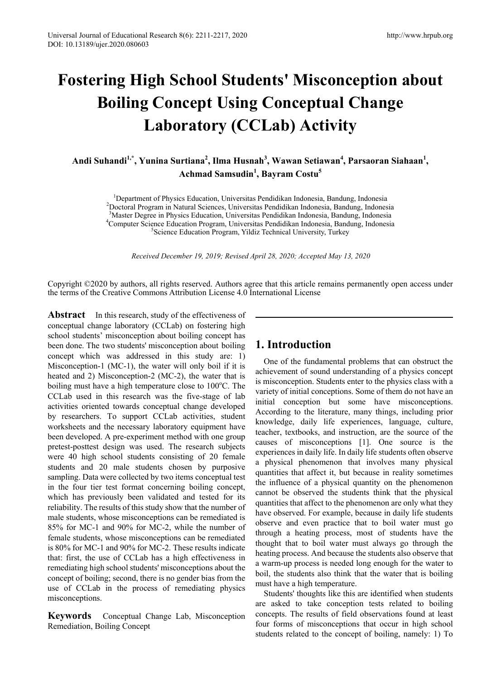# **Fostering High School Students' Misconception about Boiling Concept Using Conceptual Change Laboratory (CCLab) Activity**

Andi Suhandi<sup>1,\*</sup>, Yunina Surtiana<sup>2</sup>, Ilma Husnah<sup>3</sup>, Wawan Setiawan<sup>4</sup>, Parsaoran Siahaan<sup>1</sup>, **Achmad Samsudin<sup>1</sup> , Bayram Costu<sup>5</sup>**

<sup>1</sup> Department of Physics Education, Universitas Pendidikan Indonesia, Bandung, Indonesia<sup>2</sup><br><sup>2</sup> Doctoral Program in Natural Sciences, Universitas Pendidikan Indonesia, Bandung, Indones Doctoral Program in Natural Sciences, Universitas Pendidikan Indonesia, Bandung, Indonesia <sup>3</sup>Master Degree in Physics Education. Universitas Pendidikan Indonesia. Bandung. Indonesia Master Degree in Physics Education, Universitas Pendidikan Indonesia, Bandung, Indonesia <sup>4</sup> Computer Science Education Program, Universitas Pendidikan Indonesia, Bandung, Indonesia<br><sup>5</sup>Science Education Program, Vildiz Technical University, Turkey <sup>5</sup>Science Education Program, Yildiz Technical University, Turkey

*Received December 19, 2019; Revised April 28, 2020; Accepted May 13, 2020* 

Copyright ©2020 by authors, all rights reserved. Authors agree that this article remains permanently open access under the terms of the Creative Commons Attribution License 4.0 International License

Abstract In this research, study of the effectiveness of conceptual change laboratory (CCLab) on fostering high school students' misconception about boiling concept has been done. The two students' misconception about boiling concept which was addressed in this study are: 1) Misconception-1 (MC-1), the water will only boil if it is heated and 2) Misconception-2 (MC-2), the water that is boiling must have a high temperature close to 100°C. The CCLab used in this research was the five-stage of lab activities oriented towards conceptual change developed by researchers. To support CCLab activities, student worksheets and the necessary laboratory equipment have been developed. A pre-experiment method with one group pretest-posttest design was used. The research subjects were 40 high school students consisting of 20 female students and 20 male students chosen by purposive sampling. Data were collected by two items conceptual test in the four tier test format concerning boiling concept, which has previously been validated and tested for its reliability. The results of this study show that the number of male students, whose misconceptions can be remediated is 85% for MC-1 and 90% for MC-2, while the number of female students, whose misconceptions can be remediated is 80% for MC-1 and 90% for MC-2. These results indicate that: first, the use of CCLab has a high effectiveness in remediating high school students' misconceptions about the concept of boiling; second, there is no gender bias from the use of CCLab in the process of remediating physics misconceptions.

**Keywords** Conceptual Change Lab, Misconception Remediation, Boiling Concept

## **1. Introduction**

One of the fundamental problems that can obstruct the achievement of sound understanding of a physics concept is misconception. Students enter to the physics class with a variety of initial conceptions. Some of them do not have an initial conception but some have misconceptions. According to the literature, many things, including prior knowledge, daily life experiences, language, culture, teacher, textbooks, and instruction, are the source of the causes of misconceptions [1]. One source is the experiences in daily life. In daily life students often observe a physical phenomenon that involves many physical quantities that affect it, but because in reality sometimes the influence of a physical quantity on the phenomenon cannot be observed the students think that the physical quantities that affect to the phenomenon are only what they have observed. For example, because in daily life students observe and even practice that to boil water must go through a heating process, most of students have the thought that to boil water must always go through the heating process. And because the students also observe that a warm-up process is needed long enough for the water to boil, the students also think that the water that is boiling must have a high temperature.

Students' thoughts like this are identified when students are asked to take conception tests related to boiling concepts. The results of field observations found at least four forms of misconceptions that occur in high school students related to the concept of boiling, namely: 1) To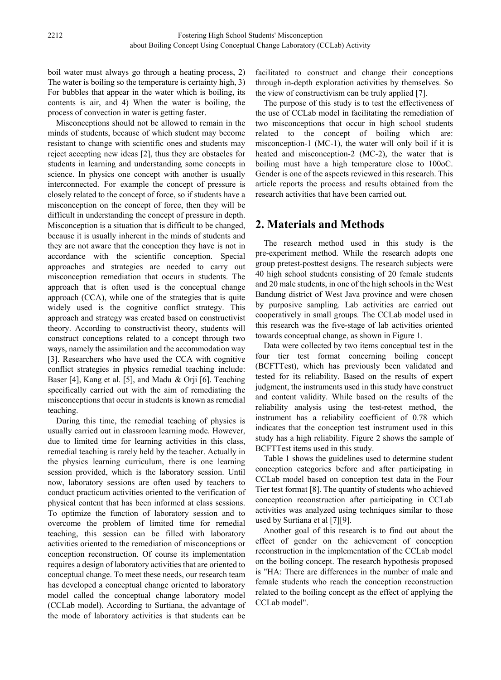boil water must always go through a heating process, 2) The water is boiling so the temperature is certainty high, 3) For bubbles that appear in the water which is boiling, its contents is air, and 4) When the water is boiling, the process of convection in water is getting faster.

Misconceptions should not be allowed to remain in the minds of students, because of which student may become resistant to change with scientific ones and students may reject accepting new ideas [2], thus they are obstacles for students in learning and understanding some concepts in science. In physics one concept with another is usually interconnected. For example the concept of pressure is closely related to the concept of force, so if students have a misconception on the concept of force, then they will be difficult in understanding the concept of pressure in depth. Misconception is a situation that is difficult to be changed, because it is usually inherent in the minds of students and they are not aware that the conception they have is not in accordance with the scientific conception. Special approaches and strategies are needed to carry out misconception remediation that occurs in students. The approach that is often used is the conceptual change approach (CCA), while one of the strategies that is quite widely used is the cognitive conflict strategy. This approach and strategy was created based on constructivist theory. According to constructivist theory, students will construct conceptions related to a concept through two ways, namely the assimilation and the accommodation way [3]. Researchers who have used the CCA with cognitive conflict strategies in physics remedial teaching include: Baser [4], Kang et al. [5], and Madu & Orji [6]. Teaching specifically carried out with the aim of remediating the misconceptions that occur in students is known as remedial teaching.

During this time, the remedial teaching of physics is usually carried out in classroom learning mode. However, due to limited time for learning activities in this class, remedial teaching is rarely held by the teacher. Actually in the physics learning curriculum, there is one learning session provided, which is the laboratory session. Until now, laboratory sessions are often used by teachers to conduct practicum activities oriented to the verification of physical content that has been informed at class sessions. To optimize the function of laboratory session and to overcome the problem of limited time for remedial teaching, this session can be filled with laboratory activities oriented to the remediation of misconceptions or conception reconstruction. Of course its implementation requires a design of laboratory activities that are oriented to conceptual change. To meet these needs, our research team has developed a conceptual change oriented to laboratory model called the conceptual change laboratory model (CCLab model). According to Surtiana, the advantage of the mode of laboratory activities is that students can be

facilitated to construct and change their conceptions through in-depth exploration activities by themselves. So the view of constructivism can be truly applied [7].

The purpose of this study is to test the effectiveness of the use of CCLab model in facilitating the remediation of two misconceptions that occur in high school students related to the concept of boiling which are: misconception-1 (MC-1), the water will only boil if it is heated and misconception-2 (MC-2), the water that is boiling must have a high temperature close to 100oC. Gender is one of the aspects reviewed in this research. This article reports the process and results obtained from the research activities that have been carried out.

## **2. Materials and Methods**

The research method used in this study is the pre-experiment method. While the research adopts one group pretest-posttest designs. The research subjects were 40 high school students consisting of 20 female students and 20 male students, in one of the high schools in the West Bandung district of West Java province and were chosen by purposive sampling. Lab activities are carried out cooperatively in small groups. The CCLab model used in this research was the five-stage of lab activities oriented towards conceptual change, as shown in Figure 1.

Data were collected by two items conceptual test in the four tier test format concerning boiling concept (BCFTTest), which has previously been validated and tested for its reliability. Based on the results of expert judgment, the instruments used in this study have construct and content validity. While based on the results of the reliability analysis using the test-retest method, the instrument has a reliability coefficient of 0.78 which indicates that the conception test instrument used in this study has a high reliability. Figure 2 shows the sample of BCFTTest items used in this study.

Table 1 shows the guidelines used to determine student conception categories before and after participating in CCLab model based on conception test data in the Four Tier test format [8]. The quantity of students who achieved conception reconstruction after participating in CCLab activities was analyzed using techniques similar to those used by Surtiana et al [7][9].

Another goal of this research is to find out about the effect of gender on the achievement of conception reconstruction in the implementation of the CCLab model on the boiling concept. The research hypothesis proposed is "HA: There are differences in the number of male and female students who reach the conception reconstruction related to the boiling concept as the effect of applying the CCLab model".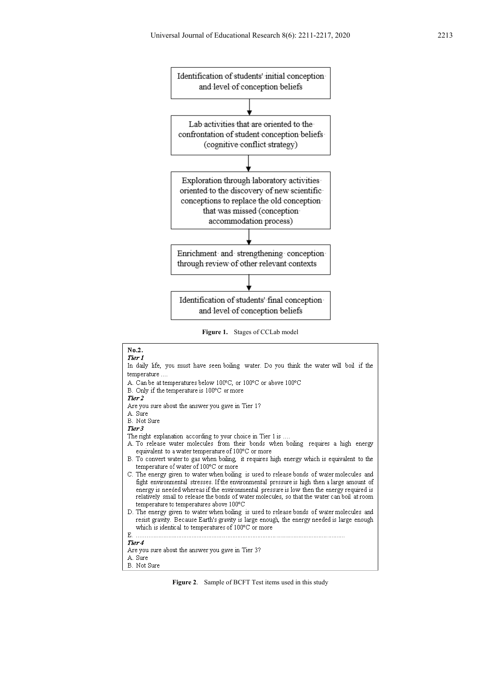

**Figure 1.** Stages of CCLab model



**Figure 2**. Sample of BCFT Test items used in this study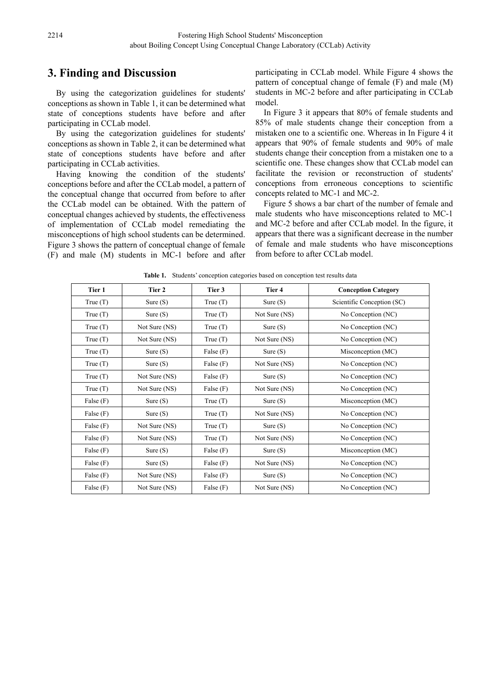## **3. Finding and Discussion**

By using the categorization guidelines for students' conceptions as shown in Table 1, it can be determined what state of conceptions students have before and after participating in CCLab model.

By using the categorization guidelines for students' conceptions as shown in Table 2, it can be determined what state of conceptions students have before and after participating in CCLab activities.

Having knowing the condition of the students' conceptions before and after the CCLab model, a pattern of the conceptual change that occurred from before to after the CCLab model can be obtained. With the pattern of conceptual changes achieved by students, the effectiveness of implementation of CCLab model remediating the misconceptions of high school students can be determined. Figure 3 shows the pattern of conceptual change of female (F) and male (M) students in MC-1 before and after

participating in CCLab model. While Figure 4 shows the pattern of conceptual change of female (F) and male (M) students in MC-2 before and after participating in CCLab model.

In Figure 3 it appears that 80% of female students and 85% of male students change their conception from a mistaken one to a scientific one. Whereas in In Figure 4 it appears that 90% of female students and 90% of male students change their conception from a mistaken one to a scientific one. These changes show that CCLab model can facilitate the revision or reconstruction of students' conceptions from erroneous conceptions to scientific concepts related to MC-1 and MC-2.

Figure 5 shows a bar chart of the number of female and male students who have misconceptions related to MC-1 and MC-2 before and after CCLab model. In the figure, it appears that there was a significant decrease in the number of female and male students who have misconceptions from before to after CCLab model.

| Tier 1      | Tier 2        | Tier 3      | Tier 4                           | <b>Conception Category</b> |
|-------------|---------------|-------------|----------------------------------|----------------------------|
| True(T)     | Sure $(S)$    | True $(T)$  | Sure $(S)$                       | Scientific Conception (SC) |
| True(T)     | Sure $(S)$    | True(T)     | Not Sure (NS)                    | No Conception (NC)         |
| True(T)     | Not Sure (NS) | True(T)     | Sure $(S)$                       | No Conception (NC)         |
| True $(T)$  | Not Sure (NS) | True $(T)$  | Not Sure (NS)                    | No Conception (NC)         |
| True $(T)$  | Sure $(S)$    | False $(F)$ | Sure $(S)$                       | Misconception (MC)         |
| True(T)     | Sure $(S)$    | False $(F)$ | Not Sure (NS)                    | No Conception (NC)         |
| True $(T)$  | Not Sure (NS) | False $(F)$ | Sure $(S)$                       | No Conception (NC)         |
| True(T)     | Not Sure (NS) | False $(F)$ | Not Sure (NS)                    | No Conception (NC)         |
| False $(F)$ | Sure $(S)$    | True $(T)$  | Sure $(S)$                       | Misconception (MC)         |
| False $(F)$ | Sure $(S)$    | True $(T)$  | Not Sure (NS)                    | No Conception (NC)         |
| False $(F)$ | Not Sure (NS) | True(T)     | Sure $(S)$                       | No Conception (NC)         |
| False $(F)$ | Not Sure (NS) | True $(T)$  | Not Sure (NS)                    | No Conception (NC)         |
| False $(F)$ | Sure $(S)$    | False $(F)$ | Sure $(S)$                       | Misconception (MC)         |
| False $(F)$ | Sure $(S)$    | False $(F)$ | Not Sure (NS)                    | No Conception (NC)         |
| False $(F)$ | Not Sure (NS) | False $(F)$ | No Conception (NC)<br>Sure $(S)$ |                            |
| False $(F)$ | Not Sure (NS) | False $(F)$ | Not Sure (NS)                    | No Conception (NC)         |

**Table 1.** Students' conception categories based on conception test results data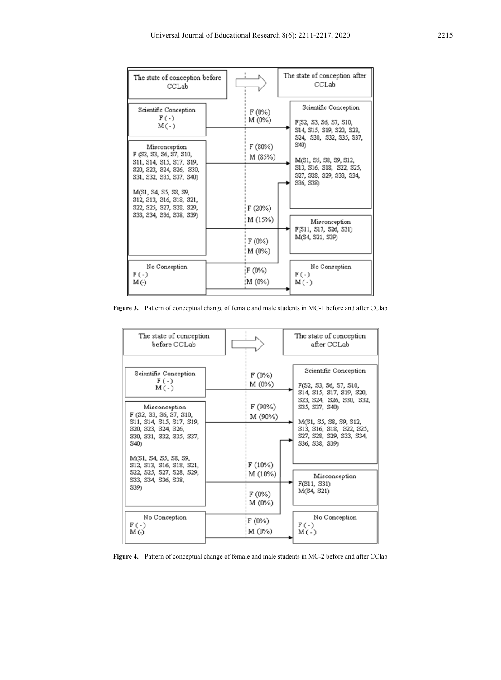| The state of conception before<br>CCLab                                                                                                                                           |                                        | The state of conception after<br>CCLab                                                                                               |  |  |
|-----------------------------------------------------------------------------------------------------------------------------------------------------------------------------------|----------------------------------------|--------------------------------------------------------------------------------------------------------------------------------------|--|--|
| Scientific Conception<br>$F(-)$<br>$M(-)$                                                                                                                                         | F (0%)<br>M (0%)                       | Scientific Conception<br>F(S2, S3, S6, S7, S10,<br>S14, S15, S19, S20, S23,                                                          |  |  |
| Misconception<br>F (S2, S3, S6, S7, S10,<br>S11, S14, S15, S17, S19,<br>S20, S23, S24, S26, S30,<br>S31, S32, S35, S37, S40)<br>M(S1, S4, S5, S8, S9,<br>S12, S13, S16, S18, S21, | F (80%)<br>M (85%)                     | \$24, \$30, \$32, \$35, \$37,<br>S40)<br>M(S1, S5, S8, S9, S12,<br>S13, S16, S18, S22, S25,<br>S27, S28, S29, S33, S34,<br>S36, S38) |  |  |
| S22, S25, S27, S28, S29,<br>S33, S34, S36, S38, S39)                                                                                                                              | F (20%)<br>M (15%)<br>F (0%)<br>M (0%) | Misconception<br>F(S11, S17, S26, S31)<br>M(S4, S21, S39)                                                                            |  |  |
| No Conception<br>F ( -)<br>M (-)                                                                                                                                                  | F (0%)<br>¦M (0%)                      | No Conception<br>$F(-)$<br>$M(-)$                                                                                                    |  |  |

Figure 3. Pattern of conceptual change of female and male students in MC-1 before and after CClab

| The state of conception<br>before CCLab             |        |                    |  | The state of conception<br>after CCLab               |  |  |  |
|-----------------------------------------------------|--------|--------------------|--|------------------------------------------------------|--|--|--|
|                                                     |        |                    |  |                                                      |  |  |  |
| Scientific Conception                               |        | F(0%)              |  | Scientific Conception                                |  |  |  |
| $F(-)$<br>M(-)                                      | M (0%) |                    |  | F(S2, S3, S6, S7, S10,                               |  |  |  |
|                                                     |        |                    |  | S14, S15, S17, S19, S20,<br>S23, S24, S26, S30, S32, |  |  |  |
| Misconception                                       |        | F (90%)<br>M (90%) |  | S35, S37, S40)                                       |  |  |  |
| F (S2, S3, S6, S7, S10,<br>S11, S14, S15, S17, S19, |        |                    |  | M(S1, S5, S8, S9, S12,                               |  |  |  |
| S20, S23, S24, S26,                                 |        |                    |  | S13, S16, S18, S22, S25,<br>S27, S28, S29, S33, S34, |  |  |  |
| \$30, \$31, \$32, \$35, \$37,<br>S40)               |        |                    |  | S36, S38, S39)                                       |  |  |  |
| M(S1, S4, S5, S8, S9,                               |        |                    |  |                                                      |  |  |  |
| S12, S13, S16, S18, S21,                            |        | F (10%)            |  |                                                      |  |  |  |
| S22, S25, S27, S28, S29,<br>S33, S34, S36, S38,     |        | M (10%)            |  | Misconception                                        |  |  |  |
| S39)                                                |        |                    |  | F(S11, S31)<br>M(S4, S21)                            |  |  |  |
|                                                     |        | F (0%)<br>M (0%)   |  |                                                      |  |  |  |
|                                                     |        |                    |  |                                                      |  |  |  |
| No Conception<br>F ( - )                            |        | F(0%)              |  | No Conception<br>$F(-)$                              |  |  |  |
| M (-)                                               | M (0%) |                    |  | $M(-)$                                               |  |  |  |
|                                                     |        |                    |  |                                                      |  |  |  |

**Figure 4.** Pattern of conceptual change of female and male students in MC-2 before and after CClab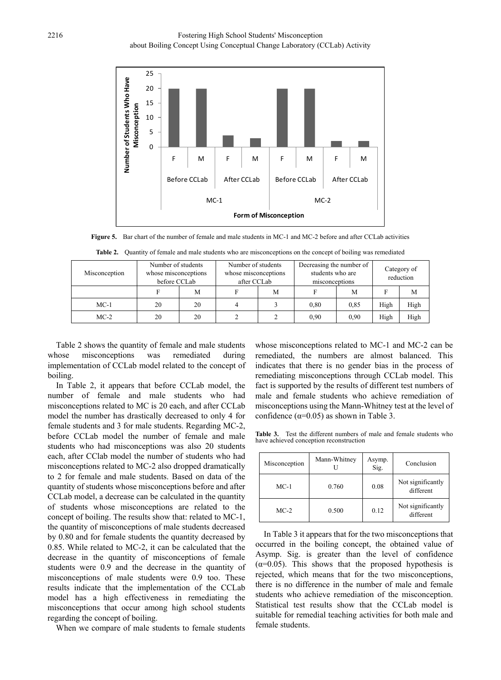

**Figure 5.** Bar chart of the number of female and male students in MC-1 and MC-2 before and after CCLab activities

| Misconception | Number of students<br>whose misconceptions<br>before CCLab |    | Number of students<br>whose misconceptions<br>after CCLab |   | Decreasing the number of<br>students who are<br>misconceptions |      | Category of<br>reduction |      |
|---------------|------------------------------------------------------------|----|-----------------------------------------------------------|---|----------------------------------------------------------------|------|--------------------------|------|
|               |                                                            | M  |                                                           | M |                                                                | M    | F                        | M    |
| $MC-1$        | 20                                                         | 20 |                                                           |   | 0.80                                                           | 0.85 | High                     | High |
| $MC-2$        | 20                                                         | 20 | C                                                         |   | 0.90                                                           | 0,90 | High                     | High |

**Table 2.** Quantity of female and male students who are misconceptions on the concept of boiling was remediated

Table 2 shows the quantity of female and male students whose misconceptions was remediated during implementation of CCLab model related to the concept of boiling.

In Table 2, it appears that before CCLab model, the number of female and male students who had misconceptions related to MC is 20 each, and after CCLab model the number has drastically decreased to only 4 for female students and 3 for male students. Regarding MC-2, before CCLab model the number of female and male students who had misconceptions was also 20 students each, after CClab model the number of students who had misconceptions related to MC-2 also dropped dramatically to 2 for female and male students. Based on data of the quantity of students whose misconceptions before and after CCLab model, a decrease can be calculated in the quantity of students whose misconceptions are related to the concept of boiling. The results show that: related to MC-1, the quantity of misconceptions of male students decreased by 0.80 and for female students the quantity decreased by 0.85. While related to MC-2, it can be calculated that the decrease in the quantity of misconceptions of female students were 0.9 and the decrease in the quantity of misconceptions of male students were 0.9 too. These results indicate that the implementation of the CCLab model has a high effectiveness in remediating the misconceptions that occur among high school students regarding the concept of boiling.

When we compare of male students to female students

whose misconceptions related to MC-1 and MC-2 can be remediated, the numbers are almost balanced. This indicates that there is no gender bias in the process of remediating misconceptions through CCLab model. This fact is supported by the results of different test numbers of male and female students who achieve remediation of misconceptions using the Mann-Whitney test at the level of confidence  $(\alpha=0.05)$  as shown in Table 3.

**Table 3.** Test the different numbers of male and female students who have achieved conception reconstruction

| Misconception | Mann-Whitney | Asymp.<br>Sig. | Conclusion                     |  |  |
|---------------|--------------|----------------|--------------------------------|--|--|
| $MC-1$        | 0.760        | 0.08           | Not significantly<br>different |  |  |
| $MC-2$        | 0.500        | 0.12           | Not significantly<br>different |  |  |

In Table 3 it appears that for the two misconceptions that occurred in the boiling concept, the obtained value of Asymp. Sig. is greater than the level of confidence  $(\alpha=0.05)$ . This shows that the proposed hypothesis is rejected, which means that for the two misconceptions, there is no difference in the number of male and female students who achieve remediation of the misconception. Statistical test results show that the CCLab model is suitable for remedial teaching activities for both male and female students.